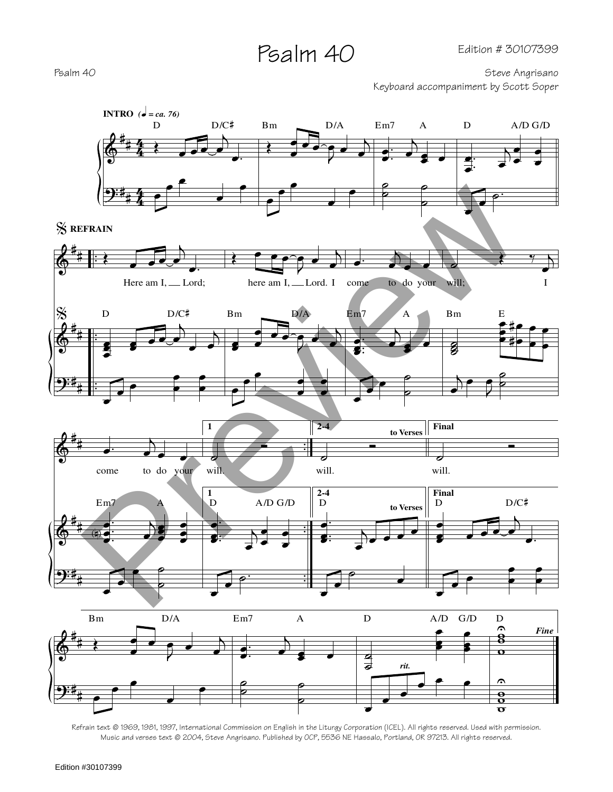## Psalm 40

Psalm 40 Steve Angrisano

Keyboard accompaniment by Scott Soper



Refrain text © 1969, 1981, 1997, International Commission on English in the Liturgy Corporation (ICEL). All rights reserved. Used with permission. Music and verses text © 2004, Steve Angrisano. Published by OCP, 5536 NE Hassalo, Portland, OR 97213. All rights reserved.